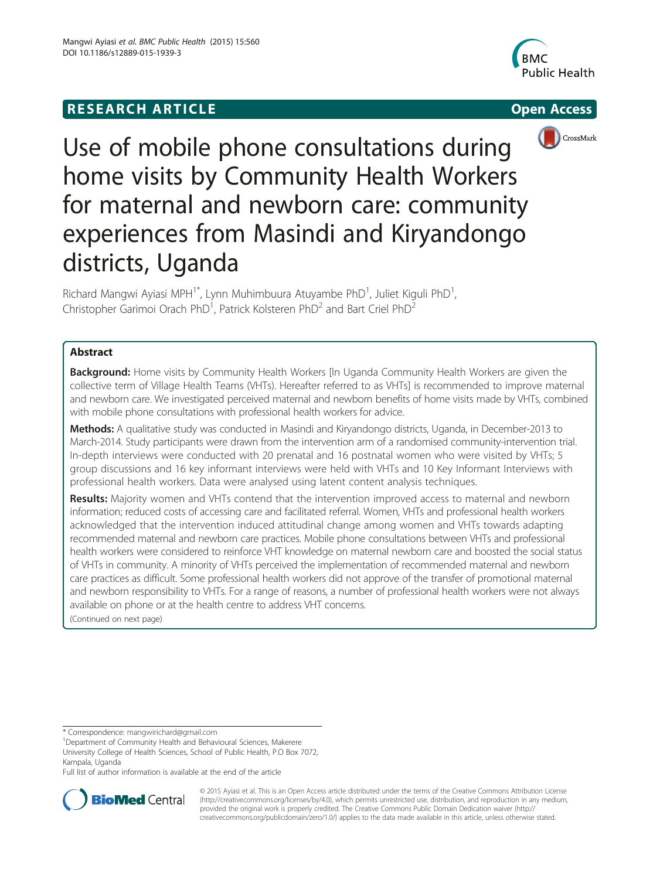## **RESEARCH ARTICLE Example 2008 CONSIDERING CONSIDERING CONSIDERING CONSIDERING CONSIDERING CONSIDERING CONSIDERING CONSIDERING CONSIDERING CONSIDERING CONSIDERING CONSIDERING CONSIDERING CONSIDERING CONSIDERING CONSIDE**







Use of mobile phone consultations during home visits by Community Health Workers for maternal and newborn care: community experiences from Masindi and Kiryandongo districts, Uganda

Richard Mangwi Ayiasi MPH<sup>1\*</sup>, Lynn Muhimbuura Atuyambe PhD<sup>1</sup>, Juliet Kiguli PhD<sup>1</sup> , Christopher Garimoi Orach PhD<sup>1</sup>, Patrick Kolsteren PhD<sup>2</sup> and Bart Criel PhD<sup>2</sup>

## Abstract

**Background:** Home visits by Community Health Workers [In Uganda Community Health Workers are given the collective term of Village Health Teams (VHTs). Hereafter referred to as VHTs] is recommended to improve maternal and newborn care. We investigated perceived maternal and newborn benefits of home visits made by VHTs, combined with mobile phone consultations with professional health workers for advice.

Methods: A qualitative study was conducted in Masindi and Kiryandongo districts, Uganda, in December-2013 to March-2014. Study participants were drawn from the intervention arm of a randomised community-intervention trial. In-depth interviews were conducted with 20 prenatal and 16 postnatal women who were visited by VHTs; 5 group discussions and 16 key informant interviews were held with VHTs and 10 Key Informant Interviews with professional health workers. Data were analysed using latent content analysis techniques.

Results: Majority women and VHTs contend that the intervention improved access to maternal and newborn information; reduced costs of accessing care and facilitated referral. Women, VHTs and professional health workers acknowledged that the intervention induced attitudinal change among women and VHTs towards adapting recommended maternal and newborn care practices. Mobile phone consultations between VHTs and professional health workers were considered to reinforce VHT knowledge on maternal newborn care and boosted the social status of VHTs in community. A minority of VHTs perceived the implementation of recommended maternal and newborn care practices as difficult. Some professional health workers did not approve of the transfer of promotional maternal and newborn responsibility to VHTs. For a range of reasons, a number of professional health workers were not always available on phone or at the health centre to address VHT concerns. (Continued on next page)

\* Correspondence: [mangwirichard@gmail.com](mailto:mangwirichard@gmail.com) <sup>1</sup>

<sup>1</sup>Department of Community Health and Behavioural Sciences, Makerere

University College of Health Sciences, School of Public Health, P.O Box 7072, Kampala, Uganda

Full list of author information is available at the end of the article



© 2015 Ayiasi et al. This is an Open Access article distributed under the terms of the Creative Commons Attribution License [\(http://creativecommons.org/licenses/by/4.0\)](http://creativecommons.org/licenses/by/4.0), which permits unrestricted use, distribution, and reproduction in any medium, provided the original work is properly credited. The Creative Commons Public Domain Dedication waiver [\(http://](http://creativecommons.org/publicdomain/zero/1.0/) [creativecommons.org/publicdomain/zero/1.0/\)](http://creativecommons.org/publicdomain/zero/1.0/) applies to the data made available in this article, unless otherwise stated.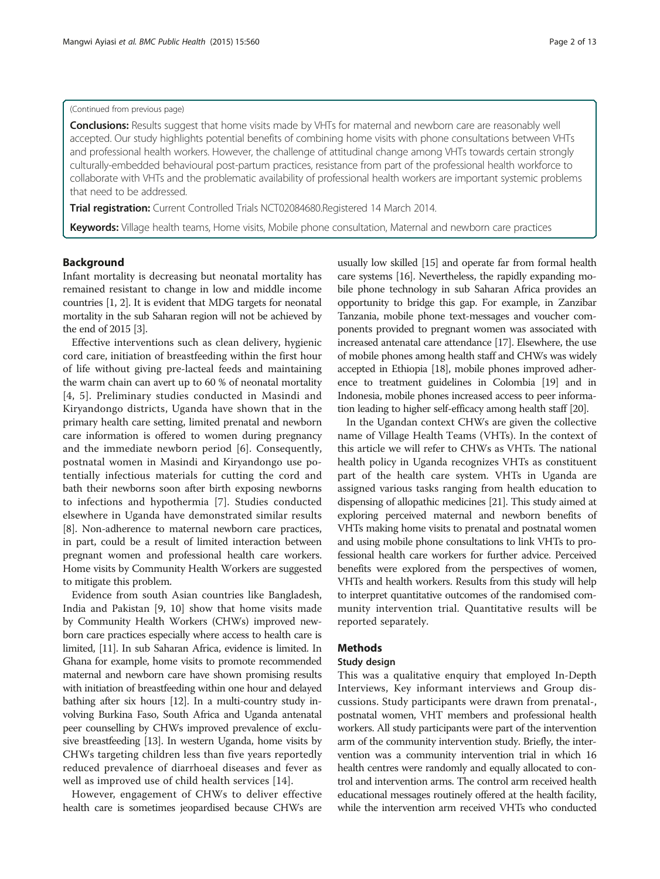#### (Continued from previous page)

Conclusions: Results suggest that home visits made by VHTs for maternal and newborn care are reasonably well accepted. Our study highlights potential benefits of combining home visits with phone consultations between VHTs and professional health workers. However, the challenge of attitudinal change among VHTs towards certain strongly culturally-embedded behavioural post-partum practices, resistance from part of the professional health workforce to collaborate with VHTs and the problematic availability of professional health workers are important systemic problems that need to be addressed.

Trial registration: Current Controlled Trials [NCT02084680](https://www.clinicaltrials.gov/ct2/show/NCT02084680?term=Newborn+study&type=Intr&cntry1=AF%3AUG&rank=9).Registered 14 March 2014.

Keywords: Village health teams, Home visits, Mobile phone consultation, Maternal and newborn care practices

## Background

Infant mortality is decreasing but neonatal mortality has remained resistant to change in low and middle income countries [[1](#page-11-0), [2\]](#page-11-0). It is evident that MDG targets for neonatal mortality in the sub Saharan region will not be achieved by the end of 2015 [\[3](#page-11-0)].

Effective interventions such as clean delivery, hygienic cord care, initiation of breastfeeding within the first hour of life without giving pre-lacteal feeds and maintaining the warm chain can avert up to 60 % of neonatal mortality [[4](#page-11-0), [5](#page-11-0)]. Preliminary studies conducted in Masindi and Kiryandongo districts, Uganda have shown that in the primary health care setting, limited prenatal and newborn care information is offered to women during pregnancy and the immediate newborn period [[6\]](#page-11-0). Consequently, postnatal women in Masindi and Kiryandongo use potentially infectious materials for cutting the cord and bath their newborns soon after birth exposing newborns to infections and hypothermia [[7\]](#page-11-0). Studies conducted elsewhere in Uganda have demonstrated similar results [[8\]](#page-11-0). Non-adherence to maternal newborn care practices, in part, could be a result of limited interaction between pregnant women and professional health care workers. Home visits by Community Health Workers are suggested to mitigate this problem.

Evidence from south Asian countries like Bangladesh, India and Pakistan [\[9](#page-11-0), [10\]](#page-11-0) show that home visits made by Community Health Workers (CHWs) improved newborn care practices especially where access to health care is limited, [\[11\]](#page-11-0). In sub Saharan Africa, evidence is limited. In Ghana for example, home visits to promote recommended maternal and newborn care have shown promising results with initiation of breastfeeding within one hour and delayed bathing after six hours [\[12\]](#page-11-0). In a multi-country study involving Burkina Faso, South Africa and Uganda antenatal peer counselling by CHWs improved prevalence of exclusive breastfeeding [\[13](#page-11-0)]. In western Uganda, home visits by CHWs targeting children less than five years reportedly reduced prevalence of diarrhoeal diseases and fever as well as improved use of child health services [\[14](#page-11-0)].

However, engagement of CHWs to deliver effective health care is sometimes jeopardised because CHWs are usually low skilled [\[15\]](#page-11-0) and operate far from formal health care systems [\[16\]](#page-11-0). Nevertheless, the rapidly expanding mobile phone technology in sub Saharan Africa provides an opportunity to bridge this gap. For example, in Zanzibar Tanzania, mobile phone text-messages and voucher components provided to pregnant women was associated with increased antenatal care attendance [\[17\]](#page-11-0). Elsewhere, the use of mobile phones among health staff and CHWs was widely accepted in Ethiopia [\[18\]](#page-11-0), mobile phones improved adherence to treatment guidelines in Colombia [\[19\]](#page-11-0) and in Indonesia, mobile phones increased access to peer information leading to higher self-efficacy among health staff [\[20](#page-11-0)].

In the Ugandan context CHWs are given the collective name of Village Health Teams (VHTs). In the context of this article we will refer to CHWs as VHTs. The national health policy in Uganda recognizes VHTs as constituent part of the health care system. VHTs in Uganda are assigned various tasks ranging from health education to dispensing of allopathic medicines [\[21\]](#page-11-0). This study aimed at exploring perceived maternal and newborn benefits of VHTs making home visits to prenatal and postnatal women and using mobile phone consultations to link VHTs to professional health care workers for further advice. Perceived benefits were explored from the perspectives of women, VHTs and health workers. Results from this study will help to interpret quantitative outcomes of the randomised community intervention trial. Quantitative results will be reported separately.

### Methods

#### Study design

This was a qualitative enquiry that employed In-Depth Interviews, Key informant interviews and Group discussions. Study participants were drawn from prenatal-, postnatal women, VHT members and professional health workers. All study participants were part of the intervention arm of the community intervention study. Briefly, the intervention was a community intervention trial in which 16 health centres were randomly and equally allocated to control and intervention arms. The control arm received health educational messages routinely offered at the health facility, while the intervention arm received VHTs who conducted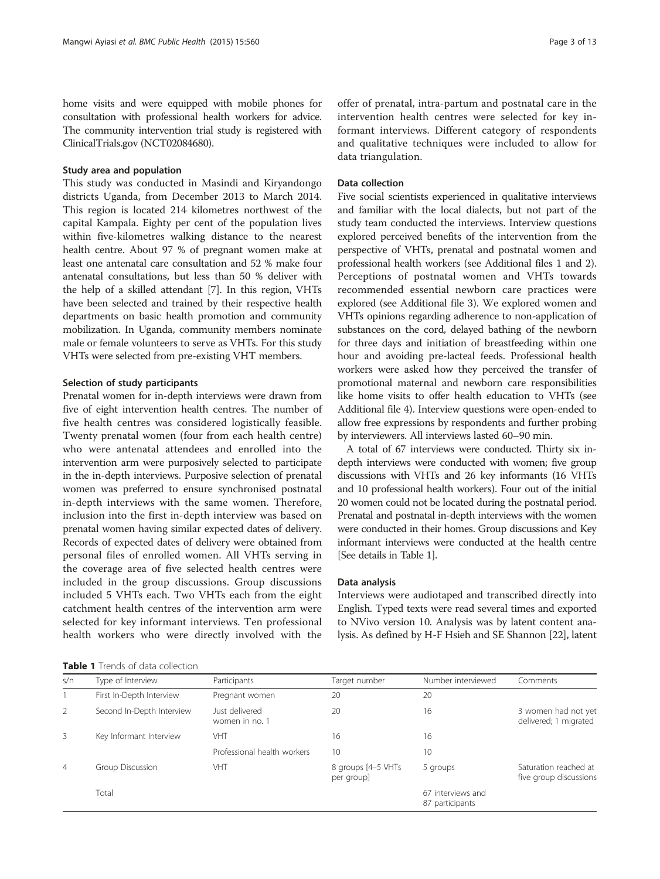home visits and were equipped with mobile phones for consultation with professional health workers for advice. The community intervention trial study is registered with ClinicalTrials.gov (NCT02084680).

#### Study area and population

This study was conducted in Masindi and Kiryandongo districts Uganda, from December 2013 to March 2014. This region is located 214 kilometres northwest of the capital Kampala. Eighty per cent of the population lives within five-kilometres walking distance to the nearest health centre. About 97 % of pregnant women make at least one antenatal care consultation and 52 % make four antenatal consultations, but less than 50 % deliver with the help of a skilled attendant [\[7](#page-11-0)]. In this region, VHTs have been selected and trained by their respective health departments on basic health promotion and community mobilization. In Uganda, community members nominate male or female volunteers to serve as VHTs. For this study VHTs were selected from pre-existing VHT members.

#### Selection of study participants

Prenatal women for in-depth interviews were drawn from five of eight intervention health centres. The number of five health centres was considered logistically feasible. Twenty prenatal women (four from each health centre) who were antenatal attendees and enrolled into the intervention arm were purposively selected to participate in the in-depth interviews. Purposive selection of prenatal women was preferred to ensure synchronised postnatal in-depth interviews with the same women. Therefore, inclusion into the first in-depth interview was based on prenatal women having similar expected dates of delivery. Records of expected dates of delivery were obtained from personal files of enrolled women. All VHTs serving in the coverage area of five selected health centres were included in the group discussions. Group discussions included 5 VHTs each. Two VHTs each from the eight catchment health centres of the intervention arm were selected for key informant interviews. Ten professional health workers who were directly involved with the

| <b>Table 1</b> Trends of data collection |  |
|------------------------------------------|--|
|------------------------------------------|--|

offer of prenatal, intra-partum and postnatal care in the intervention health centres were selected for key informant interviews. Different category of respondents and qualitative techniques were included to allow for data triangulation.

#### Data collection

Five social scientists experienced in qualitative interviews and familiar with the local dialects, but not part of the study team conducted the interviews. Interview questions explored perceived benefits of the intervention from the perspective of VHTs, prenatal and postnatal women and professional health workers (see Additional files [1](#page-10-0) and [2](#page-10-0)). Perceptions of postnatal women and VHTs towards recommended essential newborn care practices were explored (see Additional file [3](#page-10-0)). We explored women and VHTs opinions regarding adherence to non-application of substances on the cord, delayed bathing of the newborn for three days and initiation of breastfeeding within one hour and avoiding pre-lacteal feeds. Professional health workers were asked how they perceived the transfer of promotional maternal and newborn care responsibilities like home visits to offer health education to VHTs (see Additional file [4](#page-10-0)). Interview questions were open-ended to allow free expressions by respondents and further probing by interviewers. All interviews lasted 60–90 min.

A total of 67 interviews were conducted. Thirty six indepth interviews were conducted with women; five group discussions with VHTs and 26 key informants (16 VHTs and 10 professional health workers). Four out of the initial 20 women could not be located during the postnatal period. Prenatal and postnatal in-depth interviews with the women were conducted in their homes. Group discussions and Key informant interviews were conducted at the health centre [See details in Table 1].

#### Data analysis

Interviews were audiotaped and transcribed directly into English. Typed texts were read several times and exported to NVivo version 10. Analysis was by latent content analysis. As defined by H-F Hsieh and SE Shannon [[22](#page-11-0)], latent

| s/n            | Type of Interview         | Participants                     | Target number                    | Number interviewed                   | Comments                                        |
|----------------|---------------------------|----------------------------------|----------------------------------|--------------------------------------|-------------------------------------------------|
|                | First In-Depth Interview  | Pregnant women                   | 20                               | 20                                   |                                                 |
| $\overline{2}$ | Second In-Depth Interview | Just delivered<br>women in no. 1 | 20                               | 16                                   | 3 women had not yet<br>delivered; 1 migrated    |
| 3              | Key Informant Interview   | VHT                              | 16                               | 16                                   |                                                 |
|                |                           | Professional health workers      | 10                               | 10                                   |                                                 |
| $\overline{4}$ | Group Discussion          | VHT                              | 8 groups [4-5 VHTs<br>per group] | 5 groups                             | Saturation reached at<br>five group discussions |
|                | Total                     |                                  |                                  | 67 interviews and<br>87 participants |                                                 |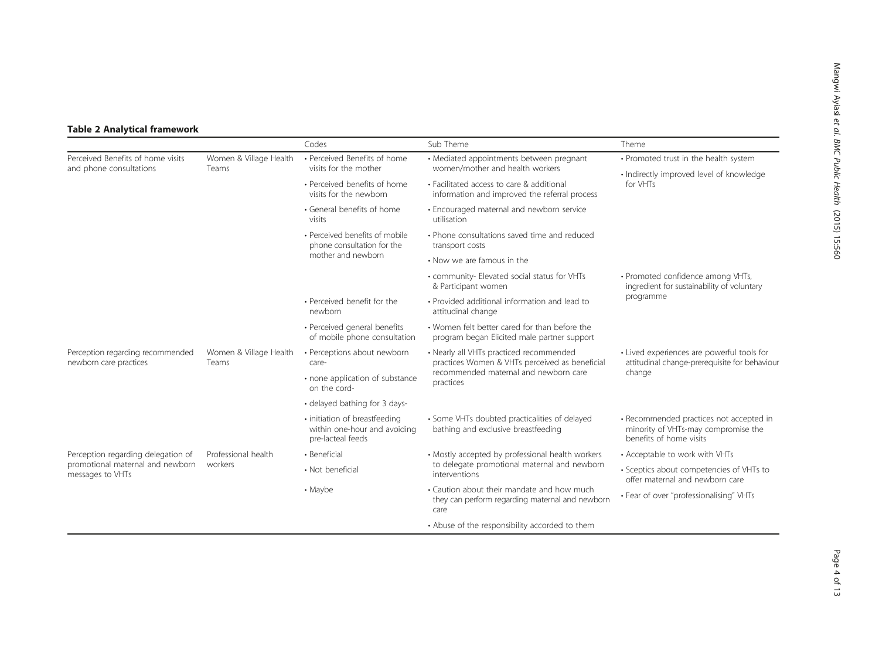## <span id="page-3-0"></span>Table 2 Analytical framework

|                                                              |                                 | Codes                                                                              | Sub Theme                                                                                                                                       | Theme                                                                                                     |  |
|--------------------------------------------------------------|---------------------------------|------------------------------------------------------------------------------------|-------------------------------------------------------------------------------------------------------------------------------------------------|-----------------------------------------------------------------------------------------------------------|--|
| Perceived Benefits of home visits<br>and phone consultations | Women & Village Health<br>Teams | • Perceived Benefits of home<br>visits for the mother                              | • Mediated appointments between pregnant<br>women/mother and health workers                                                                     | • Promoted trust in the health system                                                                     |  |
|                                                              |                                 | • Perceived benefits of home<br>visits for the newborn                             | • Facilitated access to care & additional<br>information and improved the referral process                                                      | · Indirectly improved level of knowledge<br>for VHTs                                                      |  |
|                                                              |                                 | • General benefits of home<br>visits                                               | • Encouraged maternal and newborn service<br>utilisation                                                                                        |                                                                                                           |  |
|                                                              |                                 | • Perceived benefits of mobile<br>phone consultation for the<br>mother and newborn | • Phone consultations saved time and reduced<br>transport costs                                                                                 |                                                                                                           |  |
|                                                              |                                 |                                                                                    | • Now we are famous in the                                                                                                                      |                                                                                                           |  |
|                                                              |                                 |                                                                                    | • community- Elevated social status for VHTs<br>& Participant women                                                                             | • Promoted confidence among VHTs,<br>ingredient for sustainability of voluntary                           |  |
|                                                              |                                 | • Perceived benefit for the<br>newborn                                             | · Provided additional information and lead to<br>attitudinal change                                                                             | programme                                                                                                 |  |
|                                                              |                                 | • Perceived general benefits<br>of mobile phone consultation                       | • Women felt better cared for than before the<br>program began Elicited male partner support                                                    |                                                                                                           |  |
| Perception regarding recommended<br>newborn care practices   | Women & Village Health<br>Teams | • Perceptions about newborn<br>care-                                               | • Nearly all VHTs practiced recommended<br>practices Women & VHTs perceived as beneficial<br>recommended maternal and newborn care<br>practices | • Lived experiences are powerful tools for<br>attitudinal change-prerequisite for behaviour<br>change     |  |
|                                                              |                                 | • none application of substance<br>on the cord-                                    |                                                                                                                                                 |                                                                                                           |  |
|                                                              |                                 | • delayed bathing for 3 days-                                                      |                                                                                                                                                 |                                                                                                           |  |
|                                                              |                                 | · initiation of breastfeeding<br>within one-hour and avoiding<br>pre-lacteal feeds | · Some VHTs doubted practicalities of delayed<br>bathing and exclusive breastfeeding                                                            | • Recommended practices not accepted in<br>minority of VHTs-may compromise the<br>benefits of home visits |  |
| Perception regarding delegation of                           | Professional health<br>workers  | · Beneficial                                                                       | • Mostly accepted by professional health workers<br>to delegate promotional maternal and newborn<br>interventions                               | • Acceptable to work with VHTs                                                                            |  |
| promotional maternal and newborn<br>messages to VHTs         |                                 | • Not beneficial                                                                   |                                                                                                                                                 | • Sceptics about competencies of VHTs to<br>offer maternal and newborn care                               |  |
|                                                              |                                 | • Maybe                                                                            | • Caution about their mandate and how much<br>they can perform regarding maternal and newborn<br>care                                           | • Fear of over "professionalising" VHTs                                                                   |  |
|                                                              |                                 |                                                                                    | • Abuse of the responsibility accorded to them                                                                                                  |                                                                                                           |  |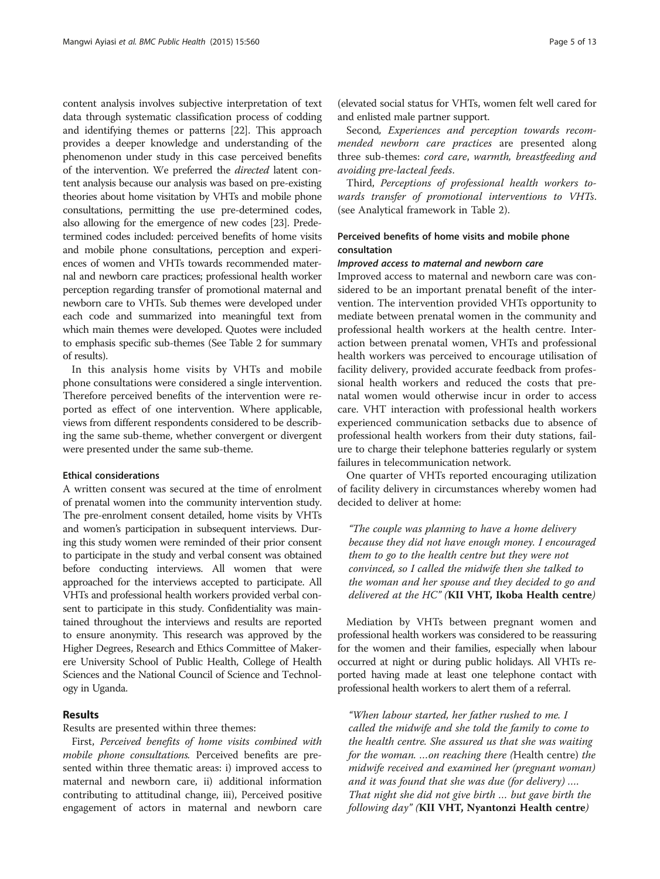content analysis involves subjective interpretation of text data through systematic classification process of codding and identifying themes or patterns [\[22\]](#page-11-0). This approach provides a deeper knowledge and understanding of the phenomenon under study in this case perceived benefits of the intervention. We preferred the directed latent content analysis because our analysis was based on pre-existing theories about home visitation by VHTs and mobile phone consultations, permitting the use pre-determined codes, also allowing for the emergence of new codes [[23](#page-11-0)]. Predetermined codes included: perceived benefits of home visits and mobile phone consultations, perception and experiences of women and VHTs towards recommended maternal and newborn care practices; professional health worker perception regarding transfer of promotional maternal and newborn care to VHTs. Sub themes were developed under each code and summarized into meaningful text from which main themes were developed. Quotes were included to emphasis specific sub-themes (See Table [2](#page-3-0) for summary of results).

In this analysis home visits by VHTs and mobile phone consultations were considered a single intervention. Therefore perceived benefits of the intervention were reported as effect of one intervention. Where applicable, views from different respondents considered to be describing the same sub-theme, whether convergent or divergent were presented under the same sub-theme.

## Ethical considerations

A written consent was secured at the time of enrolment of prenatal women into the community intervention study. The pre-enrolment consent detailed, home visits by VHTs and women's participation in subsequent interviews. During this study women were reminded of their prior consent to participate in the study and verbal consent was obtained before conducting interviews. All women that were approached for the interviews accepted to participate. All VHTs and professional health workers provided verbal consent to participate in this study. Confidentiality was maintained throughout the interviews and results are reported to ensure anonymity. This research was approved by the Higher Degrees, Research and Ethics Committee of Makerere University School of Public Health, College of Health Sciences and the National Council of Science and Technology in Uganda.

## Results

Results are presented within three themes:

First, Perceived benefits of home visits combined with mobile phone consultations. Perceived benefits are presented within three thematic areas: i) improved access to maternal and newborn care, ii) additional information contributing to attitudinal change, iii), Perceived positive engagement of actors in maternal and newborn care

(elevated social status for VHTs, women felt well cared for and enlisted male partner support.

Second, Experiences and perception towards recommended newborn care practices are presented along three sub-themes: cord care, warmth, breastfeeding and avoiding pre-lacteal feeds.

Third, Perceptions of professional health workers towards transfer of promotional interventions to VHTs. (see Analytical framework in Table [2\)](#page-3-0).

## Perceived benefits of home visits and mobile phone consultation

#### Improved access to maternal and newborn care

Improved access to maternal and newborn care was considered to be an important prenatal benefit of the intervention. The intervention provided VHTs opportunity to mediate between prenatal women in the community and professional health workers at the health centre. Interaction between prenatal women, VHTs and professional health workers was perceived to encourage utilisation of facility delivery, provided accurate feedback from professional health workers and reduced the costs that prenatal women would otherwise incur in order to access care. VHT interaction with professional health workers experienced communication setbacks due to absence of professional health workers from their duty stations, failure to charge their telephone batteries regularly or system failures in telecommunication network.

One quarter of VHTs reported encouraging utilization of facility delivery in circumstances whereby women had decided to deliver at home:

"The couple was planning to have a home delivery because they did not have enough money. I encouraged them to go to the health centre but they were not convinced, so I called the midwife then she talked to the woman and her spouse and they decided to go and delivered at the HC" (KII VHT, Ikoba Health centre)

Mediation by VHTs between pregnant women and professional health workers was considered to be reassuring for the women and their families, especially when labour occurred at night or during public holidays. All VHTs reported having made at least one telephone contact with professional health workers to alert them of a referral.

"When labour started, her father rushed to me. I called the midwife and she told the family to come to the health centre. She assured us that she was waiting for the woman. …on reaching there (Health centre) the midwife received and examined her (pregnant woman) and it was found that she was due (for delivery) …. That night she did not give birth … but gave birth the following day" (KII VHT, Nyantonzi Health centre)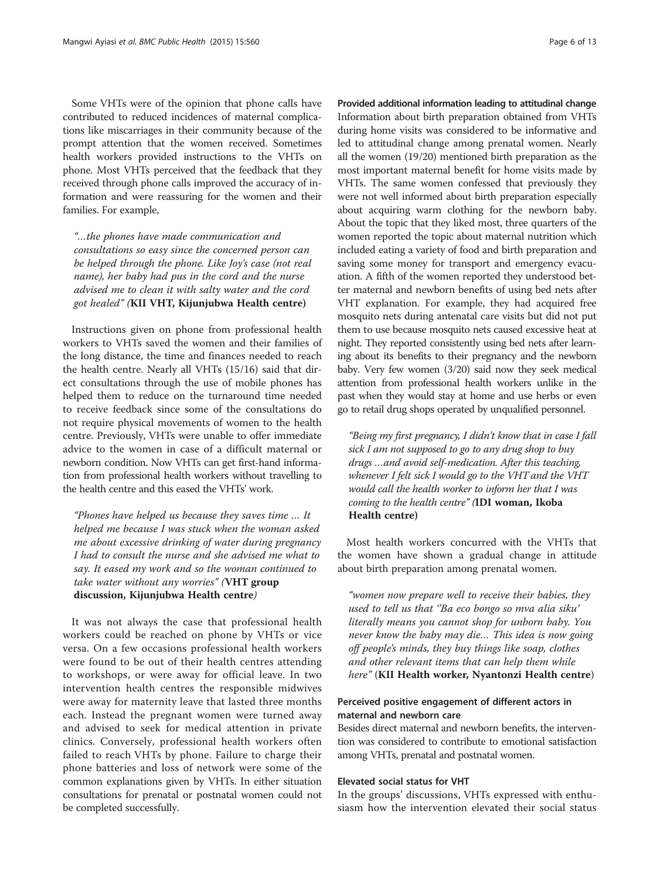Some VHTs were of the opinion that phone calls have contributed to reduced incidences of maternal complications like miscarriages in their community because of the prompt attention that the women received. Sometimes health workers provided instructions to the VHTs on phone. Most VHTs perceived that the feedback that they received through phone calls improved the accuracy of information and were reassuring for the women and their families. For example,

"…the phones have made communication and consultations so easy since the concerned person can be helped through the phone. Like Joy's case (not real name), her baby had pus in the cord and the nurse advised me to clean it with salty water and the cord got healed" (KII VHT, Kijunjubwa Health centre)

Instructions given on phone from professional health workers to VHTs saved the women and their families of the long distance, the time and finances needed to reach the health centre. Nearly all VHTs (15/16) said that direct consultations through the use of mobile phones has helped them to reduce on the turnaround time needed to receive feedback since some of the consultations do not require physical movements of women to the health centre. Previously, VHTs were unable to offer immediate advice to the women in case of a difficult maternal or newborn condition. Now VHTs can get first-hand information from professional health workers without travelling to the health centre and this eased the VHTs' work.

"Phones have helped us because they saves time … It helped me because I was stuck when the woman asked me about excessive drinking of water during pregnancy I had to consult the nurse and she advised me what to say. It eased my work and so the woman continued to take water without any worries" (VHT group discussion, Kijunjubwa Health centre)

It was not always the case that professional health workers could be reached on phone by VHTs or vice versa. On a few occasions professional health workers were found to be out of their health centres attending to workshops, or were away for official leave. In two intervention health centres the responsible midwives were away for maternity leave that lasted three months each. Instead the pregnant women were turned away and advised to seek for medical attention in private clinics. Conversely, professional health workers often failed to reach VHTs by phone. Failure to charge their phone batteries and loss of network were some of the common explanations given by VHTs. In either situation consultations for prenatal or postnatal women could not be completed successfully.

Provided additional information leading to attitudinal change Information about birth preparation obtained from VHTs during home visits was considered to be informative and led to attitudinal change among prenatal women. Nearly all the women (19/20) mentioned birth preparation as the most important maternal benefit for home visits made by VHTs. The same women confessed that previously they were not well informed about birth preparation especially about acquiring warm clothing for the newborn baby. About the topic that they liked most, three quarters of the women reported the topic about maternal nutrition which included eating a variety of food and birth preparation and saving some money for transport and emergency evacuation. A fifth of the women reported they understood better maternal and newborn benefits of using bed nets after VHT explanation. For example, they had acquired free mosquito nets during antenatal care visits but did not put them to use because mosquito nets caused excessive heat at night. They reported consistently using bed nets after learning about its benefits to their pregnancy and the newborn baby. Very few women (3/20) said now they seek medical attention from professional health workers unlike in the past when they would stay at home and use herbs or even go to retail drug shops operated by unqualified personnel.

"Being my first pregnancy, I didn't know that in case I fall sick I am not supposed to go to any drug shop to buy drugs …and avoid self-medication. After this teaching, whenever I felt sick I would go to the VHT and the VHT would call the health worker to inform her that I was coming to the health centre" (IDI woman, Ikoba Health centre)

Most health workers concurred with the VHTs that the women have shown a gradual change in attitude about birth preparation among prenatal women.

"women now prepare well to receive their babies, they used to tell us that ''Ba eco bongo so mva alia siku' literally means you cannot shop for unborn baby. You never know the baby may die… This idea is now going off people's minds, they buy things like soap, clothes and other relevant items that can help them while here" (KII Health worker, Nyantonzi Health centre)

## Perceived positive engagement of different actors in maternal and newborn care

Besides direct maternal and newborn benefits, the intervention was considered to contribute to emotional satisfaction among VHTs, prenatal and postnatal women.

#### Elevated social status for VHT

In the groups' discussions, VHTs expressed with enthusiasm how the intervention elevated their social status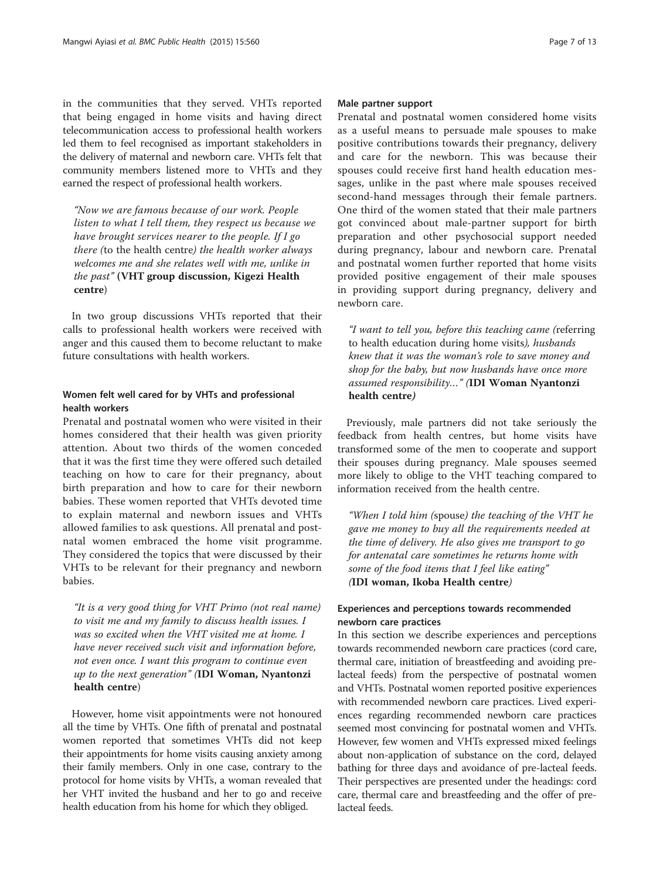in the communities that they served. VHTs reported that being engaged in home visits and having direct telecommunication access to professional health workers led them to feel recognised as important stakeholders in the delivery of maternal and newborn care. VHTs felt that community members listened more to VHTs and they earned the respect of professional health workers.

"Now we are famous because of our work. People listen to what I tell them, they respect us because we have brought services nearer to the people. If I go there (to the health centre) the health worker always welcomes me and she relates well with me, unlike in the past" (VHT group discussion, Kigezi Health centre)

In two group discussions VHTs reported that their calls to professional health workers were received with anger and this caused them to become reluctant to make future consultations with health workers.

## Women felt well cared for by VHTs and professional health workers

Prenatal and postnatal women who were visited in their homes considered that their health was given priority attention. About two thirds of the women conceded that it was the first time they were offered such detailed teaching on how to care for their pregnancy, about birth preparation and how to care for their newborn babies. These women reported that VHTs devoted time to explain maternal and newborn issues and VHTs allowed families to ask questions. All prenatal and postnatal women embraced the home visit programme. They considered the topics that were discussed by their VHTs to be relevant for their pregnancy and newborn babies.

"It is a very good thing for VHT Primo (not real name) to visit me and my family to discuss health issues. I was so excited when the VHT visited me at home. I have never received such visit and information before, not even once. I want this program to continue even up to the next generation" (IDI Woman, Nyantonzi health centre)

However, home visit appointments were not honoured all the time by VHTs. One fifth of prenatal and postnatal women reported that sometimes VHTs did not keep their appointments for home visits causing anxiety among their family members. Only in one case, contrary to the protocol for home visits by VHTs, a woman revealed that her VHT invited the husband and her to go and receive health education from his home for which they obliged.

#### Male partner support

Prenatal and postnatal women considered home visits as a useful means to persuade male spouses to make positive contributions towards their pregnancy, delivery and care for the newborn. This was because their spouses could receive first hand health education messages, unlike in the past where male spouses received second-hand messages through their female partners. One third of the women stated that their male partners got convinced about male-partner support for birth preparation and other psychosocial support needed during pregnancy, labour and newborn care. Prenatal and postnatal women further reported that home visits provided positive engagement of their male spouses in providing support during pregnancy, delivery and newborn care.

"I want to tell you, before this teaching came (referring to health education during home visits), husbands knew that it was the woman's role to save money and shop for the baby, but now husbands have once more assumed responsibility…" (IDI Woman Nyantonzi health centre)

Previously, male partners did not take seriously the feedback from health centres, but home visits have transformed some of the men to cooperate and support their spouses during pregnancy. Male spouses seemed more likely to oblige to the VHT teaching compared to information received from the health centre.

"When I told him (spouse) the teaching of the VHT he gave me money to buy all the requirements needed at the time of delivery. He also gives me transport to go for antenatal care sometimes he returns home with some of the food items that I feel like eating" (IDI woman, Ikoba Health centre)

## Experiences and perceptions towards recommended newborn care practices

In this section we describe experiences and perceptions towards recommended newborn care practices (cord care, thermal care, initiation of breastfeeding and avoiding prelacteal feeds) from the perspective of postnatal women and VHTs. Postnatal women reported positive experiences with recommended newborn care practices. Lived experiences regarding recommended newborn care practices seemed most convincing for postnatal women and VHTs. However, few women and VHTs expressed mixed feelings about non-application of substance on the cord, delayed bathing for three days and avoidance of pre-lacteal feeds. Their perspectives are presented under the headings: cord care, thermal care and breastfeeding and the offer of prelacteal feeds.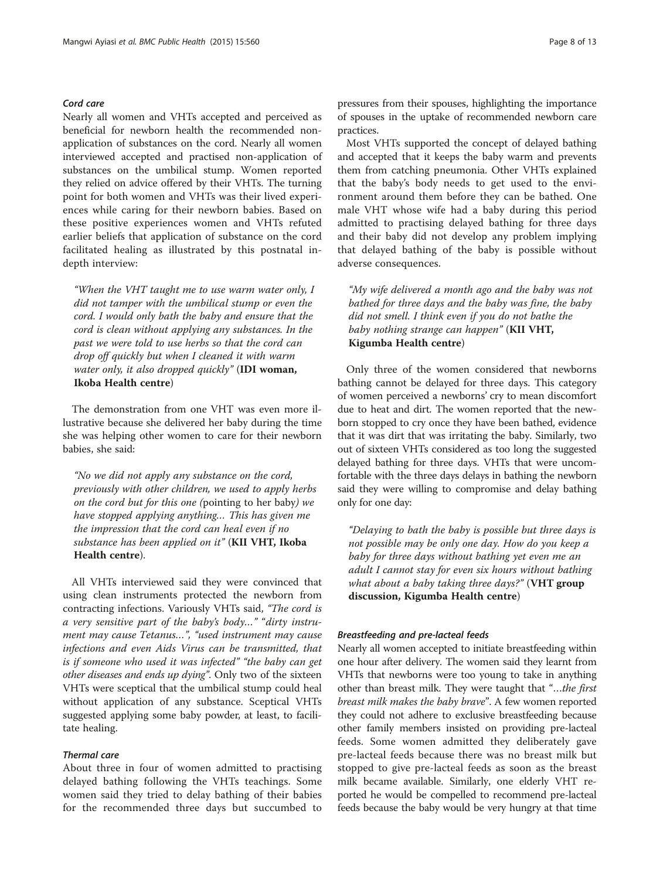## Cord care

Nearly all women and VHTs accepted and perceived as beneficial for newborn health the recommended nonapplication of substances on the cord. Nearly all women interviewed accepted and practised non-application of substances on the umbilical stump. Women reported they relied on advice offered by their VHTs. The turning point for both women and VHTs was their lived experiences while caring for their newborn babies. Based on these positive experiences women and VHTs refuted earlier beliefs that application of substance on the cord facilitated healing as illustrated by this postnatal indepth interview:

"When the VHT taught me to use warm water only, I did not tamper with the umbilical stump or even the cord. I would only bath the baby and ensure that the cord is clean without applying any substances. In the past we were told to use herbs so that the cord can drop off quickly but when I cleaned it with warm water only, it also dropped quickly" (IDI woman, Ikoba Health centre)

The demonstration from one VHT was even more illustrative because she delivered her baby during the time she was helping other women to care for their newborn babies, she said:

"No we did not apply any substance on the cord, previously with other children, we used to apply herbs on the cord but for this one (pointing to her baby) we have stopped applying anything… This has given me the impression that the cord can heal even if no substance has been applied on it" (KII VHT, Ikoba Health centre).

All VHTs interviewed said they were convinced that using clean instruments protected the newborn from contracting infections. Variously VHTs said, "The cord is a very sensitive part of the baby's body…" "dirty instrument may cause Tetanus…", "used instrument may cause infections and even Aids Virus can be transmitted, that is if someone who used it was infected" "the baby can get other diseases and ends up dying". Only two of the sixteen VHTs were sceptical that the umbilical stump could heal without application of any substance. Sceptical VHTs suggested applying some baby powder, at least, to facilitate healing.

## Thermal care

About three in four of women admitted to practising delayed bathing following the VHTs teachings. Some women said they tried to delay bathing of their babies for the recommended three days but succumbed to pressures from their spouses, highlighting the importance of spouses in the uptake of recommended newborn care practices.

Most VHTs supported the concept of delayed bathing and accepted that it keeps the baby warm and prevents them from catching pneumonia. Other VHTs explained that the baby's body needs to get used to the environment around them before they can be bathed. One male VHT whose wife had a baby during this period admitted to practising delayed bathing for three days and their baby did not develop any problem implying that delayed bathing of the baby is possible without adverse consequences.

"My wife delivered a month ago and the baby was not bathed for three days and the baby was fine, the baby did not smell. I think even if you do not bathe the baby nothing strange can happen" (KII VHT, Kigumba Health centre)

Only three of the women considered that newborns bathing cannot be delayed for three days. This category of women perceived a newborns' cry to mean discomfort due to heat and dirt. The women reported that the newborn stopped to cry once they have been bathed, evidence that it was dirt that was irritating the baby. Similarly, two out of sixteen VHTs considered as too long the suggested delayed bathing for three days. VHTs that were uncomfortable with the three days delays in bathing the newborn said they were willing to compromise and delay bathing only for one day:

"Delaying to bath the baby is possible but three days is not possible may be only one day. How do you keep a baby for three days without bathing yet even me an adult I cannot stay for even six hours without bathing what about a baby taking three days?" (VHT group discussion, Kigumba Health centre)

#### Breastfeeding and pre-lacteal feeds

Nearly all women accepted to initiate breastfeeding within one hour after delivery. The women said they learnt from VHTs that newborns were too young to take in anything other than breast milk. They were taught that "...the first breast milk makes the baby brave". A few women reported they could not adhere to exclusive breastfeeding because other family members insisted on providing pre-lacteal feeds. Some women admitted they deliberately gave pre-lacteal feeds because there was no breast milk but stopped to give pre-lacteal feeds as soon as the breast milk became available. Similarly, one elderly VHT reported he would be compelled to recommend pre-lacteal feeds because the baby would be very hungry at that time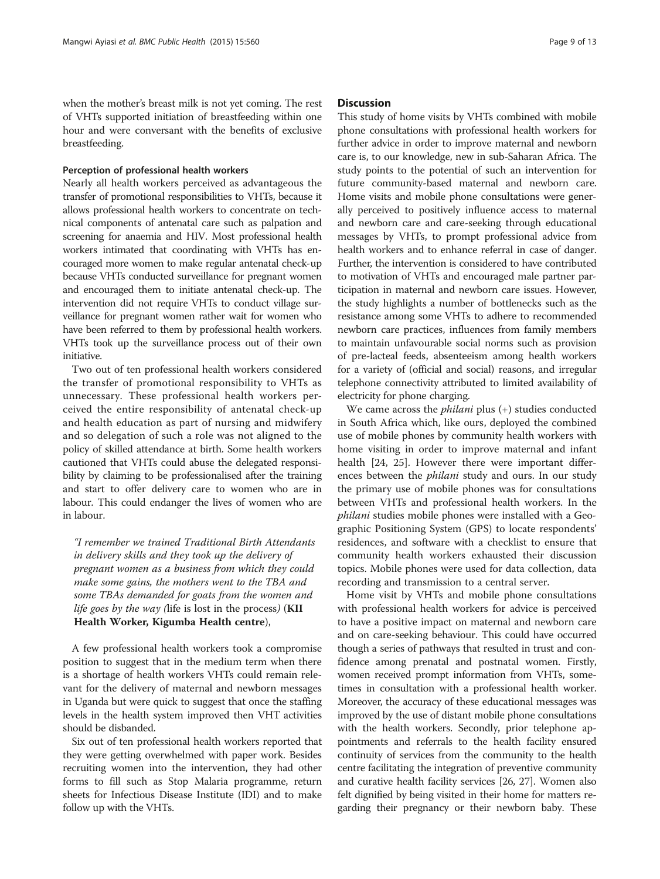when the mother's breast milk is not yet coming. The rest of VHTs supported initiation of breastfeeding within one hour and were conversant with the benefits of exclusive breastfeeding.

#### Perception of professional health workers

Nearly all health workers perceived as advantageous the transfer of promotional responsibilities to VHTs, because it allows professional health workers to concentrate on technical components of antenatal care such as palpation and screening for anaemia and HIV. Most professional health workers intimated that coordinating with VHTs has encouraged more women to make regular antenatal check-up because VHTs conducted surveillance for pregnant women and encouraged them to initiate antenatal check-up. The intervention did not require VHTs to conduct village surveillance for pregnant women rather wait for women who have been referred to them by professional health workers. VHTs took up the surveillance process out of their own initiative.

Two out of ten professional health workers considered the transfer of promotional responsibility to VHTs as unnecessary. These professional health workers perceived the entire responsibility of antenatal check-up and health education as part of nursing and midwifery and so delegation of such a role was not aligned to the policy of skilled attendance at birth. Some health workers cautioned that VHTs could abuse the delegated responsibility by claiming to be professionalised after the training and start to offer delivery care to women who are in labour. This could endanger the lives of women who are in labour.

"I remember we trained Traditional Birth Attendants in delivery skills and they took up the delivery of pregnant women as a business from which they could make some gains, the mothers went to the TBA and some TBAs demanded for goats from the women and life goes by the way (life is lost in the process) ( $KII$ Health Worker, Kigumba Health centre),

A few professional health workers took a compromise position to suggest that in the medium term when there is a shortage of health workers VHTs could remain relevant for the delivery of maternal and newborn messages in Uganda but were quick to suggest that once the staffing levels in the health system improved then VHT activities should be disbanded.

Six out of ten professional health workers reported that they were getting overwhelmed with paper work. Besides recruiting women into the intervention, they had other forms to fill such as Stop Malaria programme, return sheets for Infectious Disease Institute (IDI) and to make follow up with the VHTs.

## **Discussion**

This study of home visits by VHTs combined with mobile phone consultations with professional health workers for further advice in order to improve maternal and newborn care is, to our knowledge, new in sub-Saharan Africa. The study points to the potential of such an intervention for future community-based maternal and newborn care. Home visits and mobile phone consultations were generally perceived to positively influence access to maternal and newborn care and care-seeking through educational messages by VHTs, to prompt professional advice from health workers and to enhance referral in case of danger. Further, the intervention is considered to have contributed to motivation of VHTs and encouraged male partner participation in maternal and newborn care issues. However, the study highlights a number of bottlenecks such as the resistance among some VHTs to adhere to recommended newborn care practices, influences from family members to maintain unfavourable social norms such as provision of pre-lacteal feeds, absenteeism among health workers for a variety of (official and social) reasons, and irregular telephone connectivity attributed to limited availability of electricity for phone charging.

We came across the philani plus (+) studies conducted in South Africa which, like ours, deployed the combined use of mobile phones by community health workers with home visiting in order to improve maternal and infant health [\[24, 25](#page-11-0)]. However there were important differences between the *philani* study and ours. In our study the primary use of mobile phones was for consultations between VHTs and professional health workers. In the philani studies mobile phones were installed with a Geographic Positioning System (GPS) to locate respondents' residences, and software with a checklist to ensure that community health workers exhausted their discussion topics. Mobile phones were used for data collection, data recording and transmission to a central server.

Home visit by VHTs and mobile phone consultations with professional health workers for advice is perceived to have a positive impact on maternal and newborn care and on care-seeking behaviour. This could have occurred though a series of pathways that resulted in trust and confidence among prenatal and postnatal women. Firstly, women received prompt information from VHTs, sometimes in consultation with a professional health worker. Moreover, the accuracy of these educational messages was improved by the use of distant mobile phone consultations with the health workers. Secondly, prior telephone appointments and referrals to the health facility ensured continuity of services from the community to the health centre facilitating the integration of preventive community and curative health facility services [\[26](#page-11-0), [27](#page-11-0)]. Women also felt dignified by being visited in their home for matters regarding their pregnancy or their newborn baby. These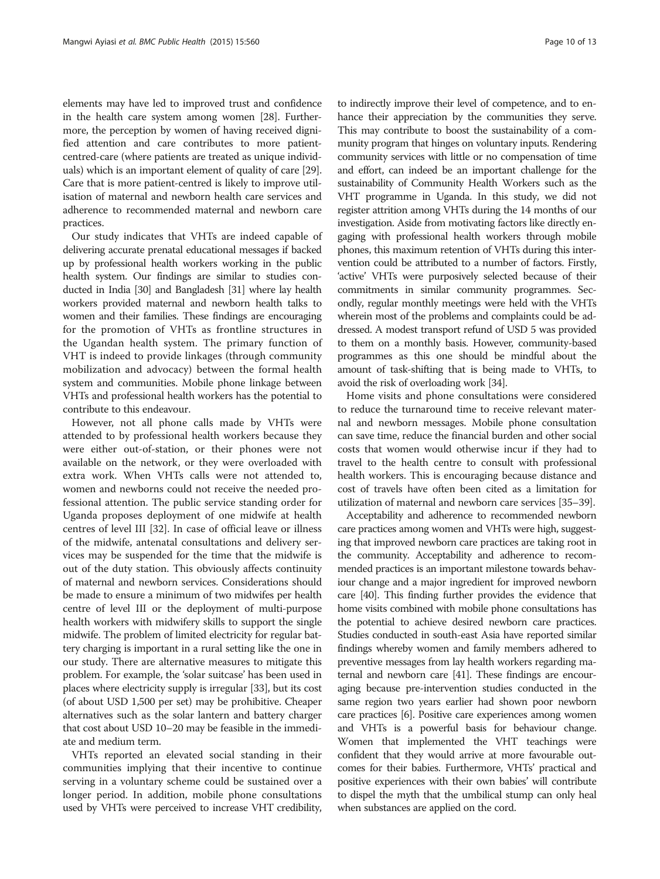elements may have led to improved trust and confidence in the health care system among women [[28](#page-11-0)]. Furthermore, the perception by women of having received dignified attention and care contributes to more patientcentred-care (where patients are treated as unique individuals) which is an important element of quality of care [[29](#page-11-0)]. Care that is more patient-centred is likely to improve utilisation of maternal and newborn health care services and adherence to recommended maternal and newborn care practices.

Our study indicates that VHTs are indeed capable of delivering accurate prenatal educational messages if backed up by professional health workers working in the public health system. Our findings are similar to studies conducted in India [\[30\]](#page-11-0) and Bangladesh [\[31](#page-12-0)] where lay health workers provided maternal and newborn health talks to women and their families. These findings are encouraging for the promotion of VHTs as frontline structures in the Ugandan health system. The primary function of VHT is indeed to provide linkages (through community mobilization and advocacy) between the formal health system and communities. Mobile phone linkage between VHTs and professional health workers has the potential to contribute to this endeavour.

However, not all phone calls made by VHTs were attended to by professional health workers because they were either out-of-station, or their phones were not available on the network, or they were overloaded with extra work. When VHTs calls were not attended to, women and newborns could not receive the needed professional attention. The public service standing order for Uganda proposes deployment of one midwife at health centres of level III [\[32\]](#page-12-0). In case of official leave or illness of the midwife, antenatal consultations and delivery services may be suspended for the time that the midwife is out of the duty station. This obviously affects continuity of maternal and newborn services. Considerations should be made to ensure a minimum of two midwifes per health centre of level III or the deployment of multi-purpose health workers with midwifery skills to support the single midwife. The problem of limited electricity for regular battery charging is important in a rural setting like the one in our study. There are alternative measures to mitigate this problem. For example, the 'solar suitcase' has been used in places where electricity supply is irregular [[33\]](#page-12-0), but its cost (of about USD 1,500 per set) may be prohibitive. Cheaper alternatives such as the solar lantern and battery charger that cost about USD 10–20 may be feasible in the immediate and medium term.

VHTs reported an elevated social standing in their communities implying that their incentive to continue serving in a voluntary scheme could be sustained over a longer period. In addition, mobile phone consultations used by VHTs were perceived to increase VHT credibility,

to indirectly improve their level of competence, and to enhance their appreciation by the communities they serve. This may contribute to boost the sustainability of a community program that hinges on voluntary inputs. Rendering community services with little or no compensation of time and effort, can indeed be an important challenge for the sustainability of Community Health Workers such as the VHT programme in Uganda. In this study, we did not register attrition among VHTs during the 14 months of our investigation. Aside from motivating factors like directly engaging with professional health workers through mobile phones, this maximum retention of VHTs during this intervention could be attributed to a number of factors. Firstly, 'active' VHTs were purposively selected because of their commitments in similar community programmes. Secondly, regular monthly meetings were held with the VHTs wherein most of the problems and complaints could be addressed. A modest transport refund of USD 5 was provided to them on a monthly basis. However, community-based programmes as this one should be mindful about the amount of task-shifting that is being made to VHTs, to avoid the risk of overloading work [[34](#page-12-0)].

Home visits and phone consultations were considered to reduce the turnaround time to receive relevant maternal and newborn messages. Mobile phone consultation can save time, reduce the financial burden and other social costs that women would otherwise incur if they had to travel to the health centre to consult with professional health workers. This is encouraging because distance and cost of travels have often been cited as a limitation for utilization of maternal and newborn care services [\[35](#page-12-0)–[39](#page-12-0)].

Acceptability and adherence to recommended newborn care practices among women and VHTs were high, suggesting that improved newborn care practices are taking root in the community. Acceptability and adherence to recommended practices is an important milestone towards behaviour change and a major ingredient for improved newborn care [\[40](#page-12-0)]. This finding further provides the evidence that home visits combined with mobile phone consultations has the potential to achieve desired newborn care practices. Studies conducted in south-east Asia have reported similar findings whereby women and family members adhered to preventive messages from lay health workers regarding maternal and newborn care [\[41\]](#page-12-0). These findings are encouraging because pre-intervention studies conducted in the same region two years earlier had shown poor newborn care practices [[6](#page-11-0)]. Positive care experiences among women and VHTs is a powerful basis for behaviour change. Women that implemented the VHT teachings were confident that they would arrive at more favourable outcomes for their babies. Furthermore, VHTs' practical and positive experiences with their own babies' will contribute to dispel the myth that the umbilical stump can only heal when substances are applied on the cord.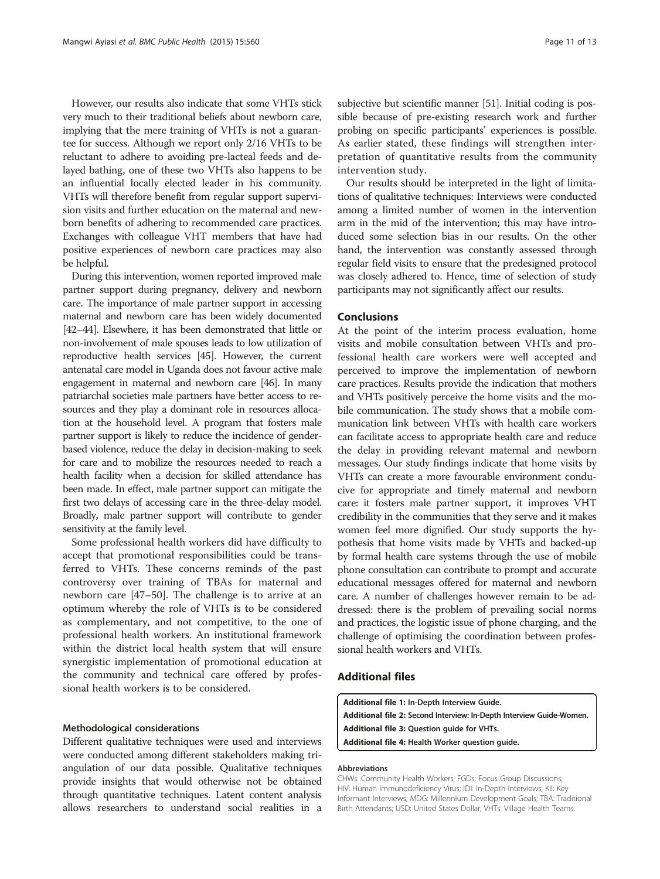<span id="page-10-0"></span>However, our results also indicate that some VHTs stick very much to their traditional beliefs about newborn care, implying that the mere training of VHTs is not a guarantee for success. Although we report only 2/16 VHTs to be reluctant to adhere to avoiding pre-lacteal feeds and delayed bathing, one of these two VHTs also happens to be an influential locally elected leader in his community. VHTs will therefore benefit from regular support supervision visits and further education on the maternal and newborn benefits of adhering to recommended care practices. Exchanges with colleague VHT members that have had positive experiences of newborn care practices may also be helpful.

During this intervention, women reported improved male partner support during pregnancy, delivery and newborn care. The importance of male partner support in accessing maternal and newborn care has been widely documented [[42](#page-12-0)–[44](#page-12-0)]. Elsewhere, it has been demonstrated that little or non-involvement of male spouses leads to low utilization of reproductive health services [[45](#page-12-0)]. However, the current antenatal care model in Uganda does not favour active male engagement in maternal and newborn care [\[46\]](#page-12-0). In many patriarchal societies male partners have better access to resources and they play a dominant role in resources allocation at the household level. A program that fosters male partner support is likely to reduce the incidence of genderbased violence, reduce the delay in decision-making to seek for care and to mobilize the resources needed to reach a health facility when a decision for skilled attendance has been made. In effect, male partner support can mitigate the first two delays of accessing care in the three-delay model. Broadly, male partner support will contribute to gender sensitivity at the family level.

Some professional health workers did have difficulty to accept that promotional responsibilities could be transferred to VHTs. These concerns reminds of the past controversy over training of TBAs for maternal and newborn care [\[47](#page-12-0)–[50\]](#page-12-0). The challenge is to arrive at an optimum whereby the role of VHTs is to be considered as complementary, and not competitive, to the one of professional health workers. An institutional framework within the district local health system that will ensure synergistic implementation of promotional education at the community and technical care offered by professional health workers is to be considered.

#### Methodological considerations

Different qualitative techniques were used and interviews were conducted among different stakeholders making triangulation of our data possible. Qualitative techniques provide insights that would otherwise not be obtained through quantitative techniques. Latent content analysis allows researchers to understand social realities in a

subjective but scientific manner [\[51\]](#page-12-0). Initial coding is possible because of pre-existing research work and further probing on specific participants' experiences is possible. As earlier stated, these findings will strengthen interpretation of quantitative results from the community intervention study.

Our results should be interpreted in the light of limitations of qualitative techniques: Interviews were conducted among a limited number of women in the intervention arm in the mid of the intervention; this may have introduced some selection bias in our results. On the other hand, the intervention was constantly assessed through regular field visits to ensure that the predesigned protocol was closely adhered to. Hence, time of selection of study participants may not significantly affect our results.

## Conclusions

At the point of the interim process evaluation, home visits and mobile consultation between VHTs and professional health care workers were well accepted and perceived to improve the implementation of newborn care practices. Results provide the indication that mothers and VHTs positively perceive the home visits and the mobile communication. The study shows that a mobile communication link between VHTs with health care workers can facilitate access to appropriate health care and reduce the delay in providing relevant maternal and newborn messages. Our study findings indicate that home visits by VHTs can create a more favourable environment conducive for appropriate and timely maternal and newborn care: it fosters male partner support, it improves VHT credibility in the communities that they serve and it makes women feel more dignified. Our study supports the hypothesis that home visits made by VHTs and backed-up by formal health care systems through the use of mobile phone consultation can contribute to prompt and accurate educational messages offered for maternal and newborn care. A number of challenges however remain to be addressed: there is the problem of prevailing social norms and practices, the logistic issue of phone charging, and the challenge of optimising the coordination between professional health workers and VHTs.

## Additional files

[Additional file 1:](http://www.biomedcentral.com/content/supplementary/s12889-015-1939-3-s1.docx) In-Depth Interview Guide.

[Additional file 2:](http://www.biomedcentral.com/content/supplementary/s12889-015-1939-3-s2.docx) Second Interview: In-Depth Interview Guide-Women. [Additional file 3:](http://www.biomedcentral.com/content/supplementary/s12889-015-1939-3-s3.docx) Question guide for VHTs.

[Additional file 4:](http://www.biomedcentral.com/content/supplementary/s12889-015-1939-3-s4.docx) Health Worker question guide.

#### Abbreviations

CHWs: Community Health Workers; FGDs: Focus Group Discussions; HIV: Human Immunodeficiency Virus; IDI: In-Depth Interviews; KII: Key Informant Interviews; MDG: Millennium Development Goals; TBA: Traditional Birth Attendants; USD: United States Dollar; VHTs: Village Health Teams.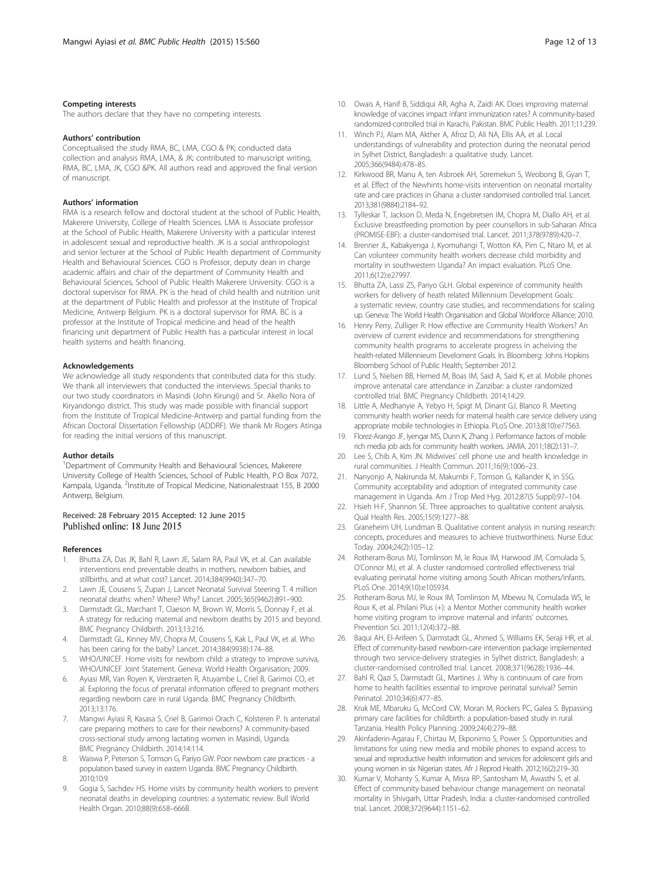#### <span id="page-11-0"></span>Competing interests

The authors declare that they have no competing interests.

#### Authors' contribution

Conceptualised the study RMA, BC, LMA, CGO & PK; conducted data collection and analysis RMA, LMA, & JK; contributed to manuscript writing, RMA, BC, LMA, JK, CGO &PK. All authors read and approved the final version of manuscript.

#### Authors' information

RMA is a research fellow and doctoral student at the school of Public Health, Makerere University, College of Health Sciences. LMA is Associate professor at the School of Public Health, Makerere University with a particular interest in adolescent sexual and reproductive health. JK is a social anthropologist and senior lecturer at the School of Public Health department of Community Health and Behavioural Sciences. CGO is Professor, deputy dean in charge academic affairs and chair of the department of Community Health and Behavioural Sciences, School of Public Health Makerere University. CGO is a doctoral supervisor for RMA. PK is the head of child health and nutrition unit at the department of Public Health and professor at the Institute of Tropical Medicine, Antwerp Belgium. PK is a doctoral supervisor for RMA. BC is a professor at the Institute of Tropical medicine and head of the health financing unit department of Public Health has a particular interest in local health systems and health financing.

#### Acknowledgements

We acknowledge all study respondents that contributed data for this study. We thank all interviewers that conducted the interviews. Special thanks to our two study coordinators in Masindi (John Kirungi) and Sr. Akello Nora of Kiryandongo district. This study was made possible with financial support from the Institute of Tropical Medicine-Antwerp and partial funding from the African Doctoral Dissertation Fellowship (ADDRF). We thank Mr Rogers Atinga for reading the initial versions of this manuscript.

#### Author details

<sup>1</sup>Department of Community Health and Behavioural Sciences, Makerere University College of Health Sciences, School of Public Health, P.O Box 7072, Kampala, Uganda. <sup>2</sup>Institute of Tropical Medicine, Nationalestraat 155, B 2000 Antwerp, Belgium.

# Received: 28 February 2015 Accepted: 12 June 2015<br>Published online: 18 June 2015

#### References

- 1. Bhutta ZA, Das JK, Bahl R, Lawn JE, Salam RA, Paul VK, et al. Can available interventions end preventable deaths in mothers, newborn babies, and stillbirths, and at what cost? Lancet. 2014;384(9940):347–70.
- Lawn JE, Cousens S, Zupan J, Lancet Neonatal Survival Steering T. 4 million neonatal deaths: when? Where? Why? Lancet. 2005;365(9462):891–900.
- 3. Darmstadt GL, Marchant T, Claeson M, Brown W, Morris S, Donnay F, et al. A strategy for reducing maternal and newborn deaths by 2015 and beyond. BMC Pregnancy Childbirth. 2013;13:216.
- 4. Darmstadt GL, Kinney MV, Chopra M, Cousens S, Kak L, Paul VK, et al. Who has been caring for the baby? Lancet. 2014;384(9938):174–88.
- WHO/UNICEF. Home visits for newborn child: a strategy to improve surviva, WHO/UNICEF Joint Statement. Geneva: World Health Organisation; 2009.
- 6. Ayiasi MR, Van Royen K, Verstraeten R, Atuyambe L, Criel B, Garimoi CO, et al. Exploring the focus of prenatal information offered to pregnant mothers regarding newborn care in rural Uganda. BMC Pregnancy Childbirth. 2013;13:176.
- 7. Mangwi Ayiasi R, Kasasa S, Criel B, Garimoi Orach C, Kolsteren P. Is antenatal care preparing mothers to care for their newborns? A community-based cross-sectional study among lactating women in Masindi, Uganda. BMC Pregnancy Childbirth. 2014;14:114.
- Waiswa P, Peterson S, Tomson G, Pariyo GW. Poor newborn care practices a population based survey in eastern Uganda. BMC Pregnancy Childbirth. 2010;10:9.
- Gogia S, Sachdev HS. Home visits by community health workers to prevent neonatal deaths in developing countries: a systematic review. Bull World Health Organ. 2010;88(9):658–666B.
- 10. Owais A, Hanif B, Siddiqui AR, Agha A, Zaidi AK. Does improving maternal knowledge of vaccines impact infant immunization rates? A community-based randomized-controlled trial in Karachi, Pakistan. BMC Public Health. 2011;11:239.
- 11. Winch PJ, Alam MA, Akther A, Afroz D, Ali NA, Ellis AA, et al. Local understandings of vulnerability and protection during the neonatal period in Sylhet District, Bangladesh: a qualitative study. Lancet. 2005;366(9484):478–85.
- 12. Kirkwood BR, Manu A, ten Asbroek AH, Soremekun S, Weobong B, Gyan T, et al. Effect of the Newhints home-visits intervention on neonatal mortality rate and care practices in Ghana: a cluster randomised controlled trial. Lancet. 2013;381(9884):2184–92.
- 13. Tylleskar T, Jackson D, Meda N, Engebretsen IM, Chopra M, Diallo AH, et al. Exclusive breastfeeding promotion by peer counsellors in sub-Saharan Africa (PROMISE-EBF): a cluster-randomised trial. Lancet. 2011;378(9789):420–7.
- 14. Brenner JL, Kabakyenga J, Kyomuhangi T, Wotton KA, Pim C, Ntaro M, et al. Can volunteer community health workers decrease child morbidity and mortality in southwestern Uganda? An impact evaluation. PLoS One. 2011;6(12):e27997.
- 15. Bhutta ZA, Lassi ZS, Pariyo GLH. Global expereince of community health workers for delivery of heath related Millennium Development Goals: a systematic review, country case studies, and recommendations for scaling up. Geneva: The World Health Organisation and Global Workforce Alliance; 2010.
- 16. Henry Perry, Zulliger R: How effective are Community Health Workers? An overview of current evidence and recommendations for strengthening community health programs to accelerate progress in acheiving the health-related Millennieum Develoment Goals. In. Bloomberg: Johns Hopkins Bloomberg School of Public Health; September 2012.
- 17. Lund S, Nielsen BB, Hemed M, Boas IM, Said A, Said K, et al. Mobile phones improve antenatal care attendance in Zanzibar: a cluster randomized controlled trial. BMC Pregnancy Childbirth. 2014;14:29.
- 18. Little A, Medhanyie A, Yebyo H, Spigt M, Dinant GJ, Blanco R. Meeting community health worker needs for maternal health care service delivery using appropriate mobile technologies in Ethiopia. PLoS One. 2013;8(10):e77563.
- 19. Florez-Arango JF, Iyengar MS, Dunn K, Zhang J. Performance factors of mobile rich media job aids for community health workers. JAMIA. 2011;18(2):131–7.
- 20. Lee S, Chib A, Kim JN. Midwives' cell phone use and health knowledge in rural communities. J Health Commun. 2011;16(9):1006–23.
- 21. Nanyonjo A, Nakirunda M, Makumbi F, Tomson G, Kallander K, in SSG. Community acceptability and adoption of integrated community case management in Uganda. Am J Trop Med Hyg. 2012;87(5 Suppl):97–104.
- 22. Hsieh H-F, Shannon SE. Three approaches to qualitative content analysis. Qual Health Res. 2005;15(9):1277–88.
- 23. Graneheim UH, Lundman B. Qualitative content analysis in nursing research: concepts, procedures and measures to achieve trustworthiness. Nurse Educ Today. 2004;24(2):105–12.
- 24. Rotheram-Borus MJ, Tomlinson M, le Roux IM, Harwood JM, Comulada S, O'Connor MJ, et al. A cluster randomised controlled effectiveness trial evaluating perinatal home visiting among South African mothers/infants. PLoS One. 2014;9(10):e105934.
- 25. Rotheram-Borus MJ, le Roux IM, Tomlinson M, Mbewu N, Comulada WS, le Roux K, et al. Philani Plus (+): a Mentor Mother community health worker home visiting program to improve maternal and infants' outcomes. Prevention Sci. 2011;12(4):372–88.
- 26. Baqui AH, El-Arifeen S, Darmstadt GL, Ahmed S, Williams EK, Seraji HR, et al. Effect of community-based newborn-care intervention package implemented through two service-delivery strategies in Sylhet district, Bangladesh: a cluster-randomised controlled trial. Lancet. 2008;371(9628):1936–44.
- 27. Bahl R, Qazi S, Darmstadt GL, Martines J. Why is continuum of care from home to health facilities essential to improve perinatal survival? Semin Perinatol. 2010;34(6):477–85.
- 28. Kruk ME, Mbaruku G, McCord CW, Moran M, Rockers PC, Galea S. Bypassing primary care facilities for childbirth: a population-based study in rural Tanzania. Health Policy Planning. 2009;24(4):279–88.
- 29. Akinfaderin-Agarau F, Chirtau M, Ekponimo S, Power S. Opportunities and limitations for using new media and mobile phones to expand access to sexual and reproductive health information and services for adolescent girls and young women in six Nigerian states. Afr J Reprod Health. 2012;16(2):219–30.
- 30. Kumar V, Mohanty S, Kumar A, Misra RP, Santosham M, Awasthi S, et al. Effect of community-based behaviour change management on neonatal mortality in Shivgarh, Uttar Pradesh, India: a cluster-randomised controlled trial. Lancet. 2008;372(9644):1151–62.